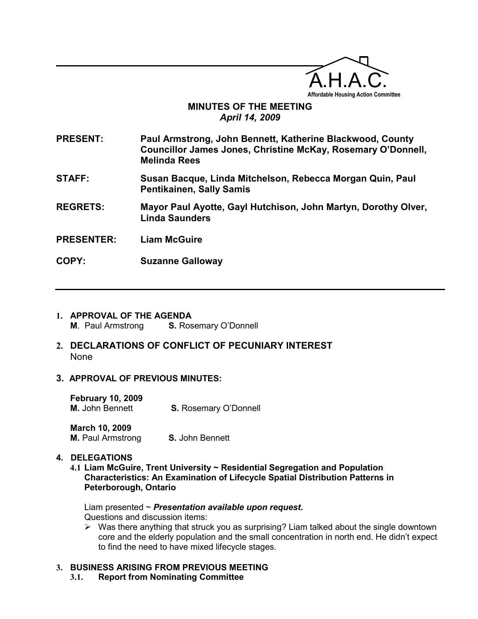

# MINUTES OF THE MEETING April 14, 2009

PRESENT: Paul Armstrong, John Bennett, Katherine Blackwood, County Councillor James Jones, Christine McKay, Rosemary O'Donnell, Melinda Rees

- STAFF: Susan Bacque, Linda Mitchelson, Rebecca Morgan Quin, Paul Pentikainen, Sally Samis
- REGRETS: Mayor Paul Ayotte, Gayl Hutchison, John Martyn, Dorothy Olver, Linda Saunders
- PRESENTER: Liam McGuire

 $\overline{a}$ 

- COPY: Suzanne Galloway
- 1. APPROVAL OF THE AGENDA M. Paul Armstrong S. Rosemary O'Donnell
- 2. DECLARATIONS OF CONFLICT OF PECUNIARY INTEREST None
- 3. APPROVAL OF PREVIOUS MINUTES:

February 10, 2009 M. John Bennett **S. Rosemary O'Donnell** 

March 10, 2009 **M.** Paul Armstrong **S.** John Bennett

## 4. DELEGATIONS

4.1 Liam McGuire, Trent University ~ Residential Segregation and Population Characteristics: An Examination of Lifecycle Spatial Distribution Patterns in Peterborough, Ontario

Liam presented  $\sim$  Presentation available upon request. Questions and discussion items:

 $\triangleright$  Was there anything that struck you as surprising? Liam talked about the single downtown core and the elderly population and the small concentration in north end. He didn't expect to find the need to have mixed lifecycle stages.

# 3. BUSINESS ARISING FROM PREVIOUS MEETING

3.1. Report from Nominating Committee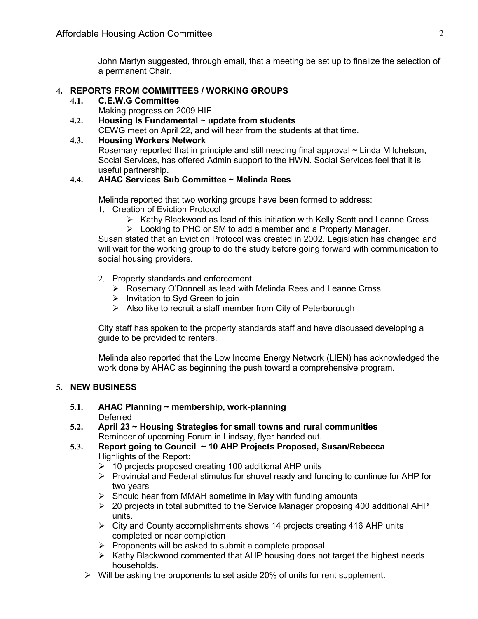John Martyn suggested, through email, that a meeting be set up to finalize the selection of a permanent Chair.

## 4. REPORTS FROM COMMITTEES / WORKING GROUPS

4.1. C.E.W.G Committee

Making progress on 2009 HIF

4.2. Housing Is Fundamental  $\sim$  update from students

CEWG meet on April 22, and will hear from the students at that time.

## 4.3. Housing Workers Network

Rosemary reported that in principle and still needing final approval ~ Linda Mitchelson, Social Services, has offered Admin support to the HWN. Social Services feel that it is useful partnership.

# 4.4. AHAC Services Sub Committee ~ Melinda Rees

Melinda reported that two working groups have been formed to address:

- 1. Creation of Eviction Protocol
	- $\triangleright$  Kathy Blackwood as lead of this initiation with Kelly Scott and Leanne Cross
	- Looking to PHC or SM to add a member and a Property Manager.

Susan stated that an Eviction Protocol was created in 2002. Legislation has changed and will wait for the working group to do the study before going forward with communication to social housing providers.

- 2. Property standards and enforcement
	- Rosemary O'Donnell as lead with Melinda Rees and Leanne Cross
	- $\triangleright$  Invitation to Syd Green to join
	- $\triangleright$  Also like to recruit a staff member from City of Peterborough

City staff has spoken to the property standards staff and have discussed developing a guide to be provided to renters.

Melinda also reported that the Low Income Energy Network (LIEN) has acknowledged the work done by AHAC as beginning the push toward a comprehensive program.

## 5. NEW BUSINESS

# 5.1. AHAC Planning  $\sim$  membership, work-planning

**Deferred** 

- 5.2. April 23 ~ Housing Strategies for small towns and rural communities Reminder of upcoming Forum in Lindsay, flyer handed out.
- 5.3. Report going to Council ~ 10 AHP Projects Proposed, Susan/Rebecca Highlights of the Report:
	- $\geq$  10 projects proposed creating 100 additional AHP units
	- $\triangleright$  Provincial and Federal stimulus for shovel ready and funding to continue for AHP for two years
	- $\triangleright$  Should hear from MMAH sometime in May with funding amounts
	- $\geq$  20 projects in total submitted to the Service Manager proposing 400 additional AHP units.
	- $\triangleright$  City and County accomplishments shows 14 projects creating 416 AHP units completed or near completion
	- $\triangleright$  Proponents will be asked to submit a complete proposal
	- $\triangleright$  Kathy Blackwood commented that AHP housing does not target the highest needs households.
	- $\triangleright$  Will be asking the proponents to set aside 20% of units for rent supplement.